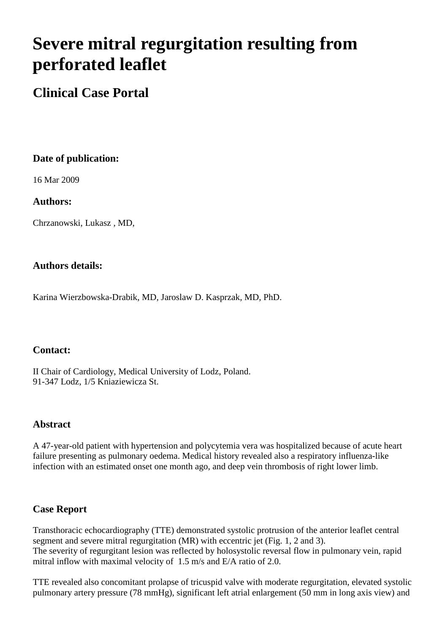# **Severe mitral regurgitation resulting from perforated leaflet**

## **Clinical Case Portal**

#### **Date of publication:**

16 Mar 2009

#### **Authors:**

Chrzanowski, Lukasz , MD,

#### **Authors details:**

Karina Wierzbowska-Drabik, MD, Jaroslaw D. Kasprzak, MD, PhD.

#### **Contact:**

II Chair of Cardiology, Medical University of Lodz, Poland. 91-347 Lodz, 1/5 Kniaziewicza St.

#### **Abstract**

A 47-year-old patient with hypertension and polycytemia vera was hospitalized because of acute heart failure presenting as pulmonary oedema. Medical history revealed also a respiratory influenza-like infection with an estimated onset one month ago, and deep vein thrombosis of right lower limb.

### **Case Report**

Transthoracic echocardiography (TTE) demonstrated systolic protrusion of the anterior leaflet central segment and severe mitral regurgitation (MR) with eccentric jet (Fig. 1, 2 and 3). The severity of regurgitant lesion was reflected by holosystolic reversal flow in pulmonary vein, rapid mitral inflow with maximal velocity of 1.5 m/s and E/A ratio of 2.0.

TTE revealed also concomitant prolapse of tricuspid valve with moderate regurgitation, elevated systolic pulmonary artery pressure (78 mmHg), significant left atrial enlargement (50 mm in long axis view) and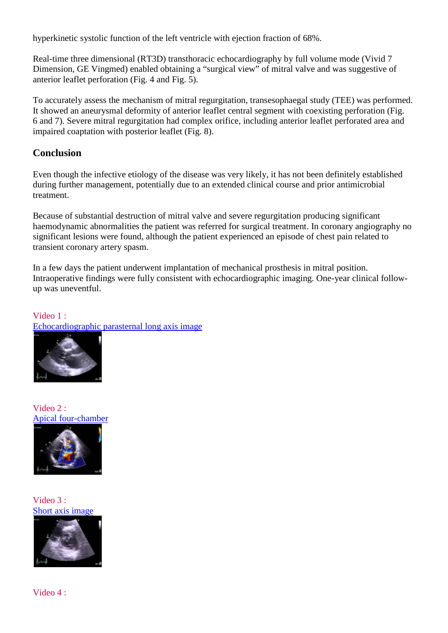hyperkinetic systolic function of the left ventricle with ejection fraction of 68%.

Real-time three dimensional (RT3D) transthoracic echocardiography by full volume mode (Vivid 7 Dimension, GE Vingmed) enabled obtaining a "surgical view" of mitral valve and was suggestive of anterior leaflet perforation (Fig. 4 and Fig. 5).

To accurately assess the mechanism of mitral regurgitation, transesophaegal study (TEE) was performed. It showed an aneurysmal deformity of anterior leaflet central segment with coexisting perforation (Fig. 6 and 7). Severe mitral regurgitation had complex orifice, including anterior leaflet perforated area and impaired coaptation with posterior leaflet (Fig. 8).

#### **Conclusion**

Even though the infective etiology of the disease was very likely, it has not been definitely established during further management, potentially due to an extended clinical course and prior antimicrobial treatment.

Because of substantial destruction of mitral valve and severe regurgitation producing significant haemodynamic abnormalities the patient was referred for surgical treatment. In coronary angiography no significant lesions were found, although the patient experienced an episode of chest pain related to transient coronary artery spasm.

In a few days the patient underwent implantation of mechanical prosthesis in mitral position. Intraoperative findings were fully consistent with echocardiographic imaging. One-year clinical followup was uneventful.

#### Video 1 : [Echocardiographic parasternal long axis image](http://www.youtube.com/watch?v=rn7xV3bCcmM)



Video 2 : [Apical four-chamber](http://www.youtube.com/watch?v=cyjnAO8_0EA) 



Video 3 : [Short axis image](http://www.youtube.com/watch?v=VwjnmyBklkM)



Video 4 :